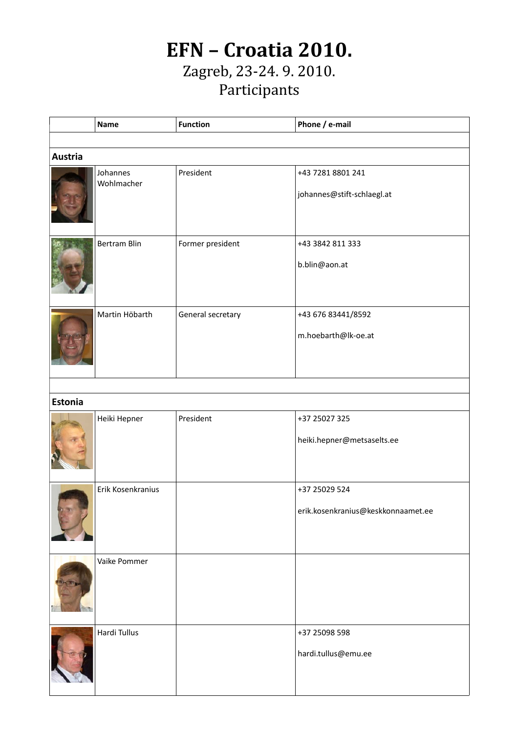## **EFN – Croatia 2010.** Zagreb, 23-24. 9. 2010. Participants

|                | <b>Name</b>            | <b>Function</b>   | Phone / e-mail                                  |  |  |  |  |
|----------------|------------------------|-------------------|-------------------------------------------------|--|--|--|--|
|                |                        |                   |                                                 |  |  |  |  |
| <b>Austria</b> |                        |                   |                                                 |  |  |  |  |
|                | Johannes<br>Wohlmacher | President         | +43 7281 8801 241<br>johannes@stift-schlaegl.at |  |  |  |  |
|                |                        |                   |                                                 |  |  |  |  |
|                | <b>Bertram Blin</b>    | Former president  | +43 3842 811 333<br>b.blin@aon.at               |  |  |  |  |
|                |                        |                   |                                                 |  |  |  |  |
|                | Martin Höbarth         | General secretary | +43 676 83441/8592                              |  |  |  |  |
|                |                        |                   | m.hoebarth@lk-oe.at                             |  |  |  |  |
|                |                        |                   |                                                 |  |  |  |  |
| <b>Estonia</b> |                        |                   |                                                 |  |  |  |  |
|                | Heiki Hepner           | President         | +37 25027 325                                   |  |  |  |  |
|                |                        |                   | heiki.hepner@metsaselts.ee                      |  |  |  |  |
|                | Erik Kosenkranius      |                   | +37 25029 524                                   |  |  |  |  |
|                |                        |                   | erik.kosenkranius@keskkonnaamet.ee              |  |  |  |  |
|                | Vaike Pommer           |                   |                                                 |  |  |  |  |
|                | Hardi Tullus           |                   | +37 25098 598                                   |  |  |  |  |
|                |                        |                   | hardi.tullus@emu.ee                             |  |  |  |  |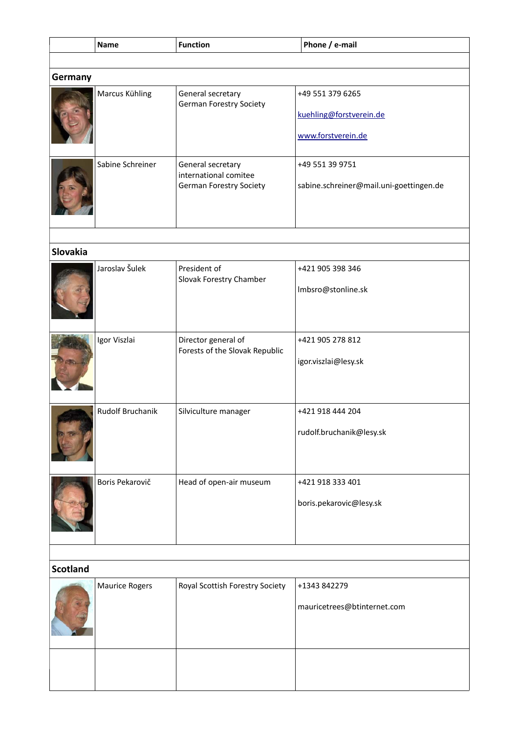|                 | <b>Name</b>      | <b>Function</b>                                       | Phone / e-mail                          |  |  |  |
|-----------------|------------------|-------------------------------------------------------|-----------------------------------------|--|--|--|
|                 |                  |                                                       |                                         |  |  |  |
| Germany         |                  |                                                       |                                         |  |  |  |
|                 | Marcus Kühling   | General secretary<br><b>German Forestry Society</b>   | +49 551 379 6265                        |  |  |  |
|                 |                  |                                                       | kuehling@forstverein.de                 |  |  |  |
|                 |                  |                                                       | www.forstverein.de                      |  |  |  |
|                 | Sabine Schreiner | General secretary<br>international comitee            | +49 551 39 9751                         |  |  |  |
|                 |                  | <b>German Forestry Society</b>                        | sabine.schreiner@mail.uni-goettingen.de |  |  |  |
|                 |                  |                                                       |                                         |  |  |  |
| <b>Slovakia</b> |                  |                                                       |                                         |  |  |  |
|                 | Jaroslav Šulek   | President of<br>Slovak Forestry Chamber               | +421 905 398 346                        |  |  |  |
|                 |                  |                                                       | Imbsro@stonline.sk                      |  |  |  |
|                 |                  |                                                       |                                         |  |  |  |
|                 | Igor Viszlai     | Director general of<br>Forests of the Slovak Republic | +421 905 278 812                        |  |  |  |
|                 |                  |                                                       | igor.viszlai@lesy.sk                    |  |  |  |
|                 | Rudolf Bruchanik | Silviculture manager                                  | +421 918 444 204                        |  |  |  |
|                 |                  |                                                       | rudolf.bruchanik@lesy.sk                |  |  |  |
|                 | Boris Pekarovič  | Head of open-air museum                               | +421 918 333 401                        |  |  |  |
|                 |                  |                                                       | boris.pekarovic@lesy.sk                 |  |  |  |
|                 |                  |                                                       |                                         |  |  |  |
|                 |                  |                                                       |                                         |  |  |  |
| <b>Scotland</b> |                  |                                                       |                                         |  |  |  |
|                 | Maurice Rogers   | Royal Scottish Forestry Society                       | +1343 842279                            |  |  |  |
|                 |                  |                                                       | mauricetrees@btinternet.com             |  |  |  |
|                 |                  |                                                       |                                         |  |  |  |
|                 |                  |                                                       |                                         |  |  |  |
|                 |                  |                                                       |                                         |  |  |  |